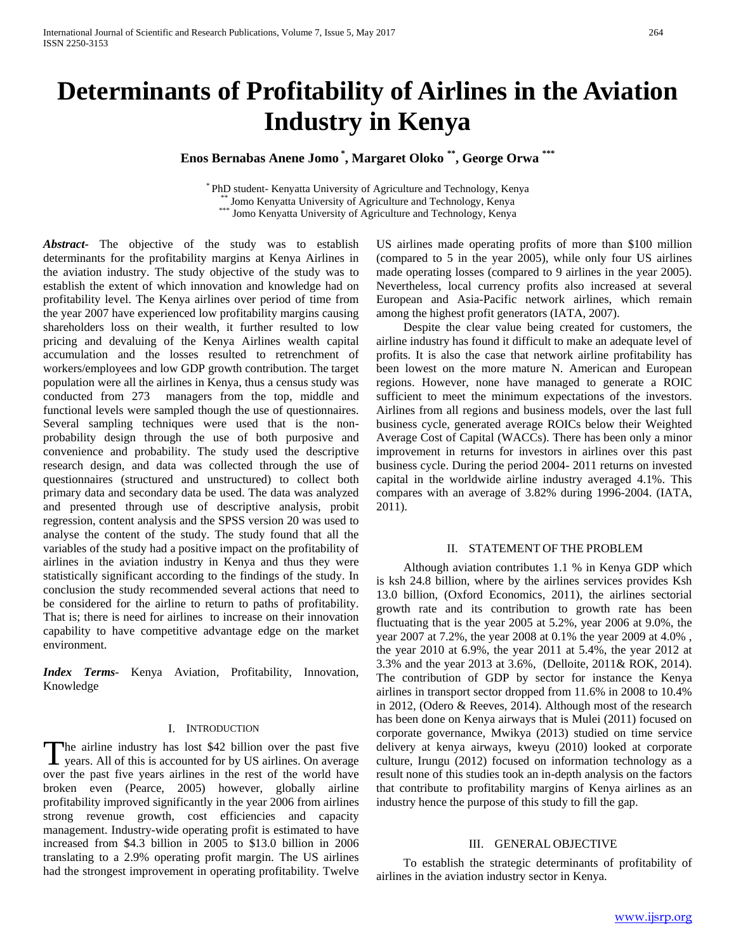# **Determinants of Profitability of Airlines in the Aviation Industry in Kenya**

**Enos Bernabas Anene Jomo \* , Margaret Oloko \*\*, George Orwa \*\*\***

\* PhD student- Kenyatta University of Agriculture and Technology, Kenya \*\* Jomo Kenyatta University of Agriculture and Technology, Kenya \*\*\* Jomo Kenyatta University of Agriculture and Technology, Kenya

*Abstract***-** The objective of the study was to establish determinants for the profitability margins at Kenya Airlines in the aviation industry. The study objective of the study was to establish the extent of which innovation and knowledge had on profitability level. The Kenya airlines over period of time from the year 2007 have experienced low profitability margins causing shareholders loss on their wealth, it further resulted to low pricing and devaluing of the Kenya Airlines wealth capital accumulation and the losses resulted to retrenchment of workers/employees and low GDP growth contribution. The target population were all the airlines in Kenya, thus a census study was conducted from 273 managers from the top, middle and functional levels were sampled though the use of questionnaires. Several sampling techniques were used that is the nonprobability design through the use of both purposive and convenience and probability. The study used the descriptive research design, and data was collected through the use of questionnaires (structured and unstructured) to collect both primary data and secondary data be used. The data was analyzed and presented through use of descriptive analysis, probit regression, content analysis and the SPSS version 20 was used to analyse the content of the study. The study found that all the variables of the study had a positive impact on the profitability of airlines in the aviation industry in Kenya and thus they were statistically significant according to the findings of the study. In conclusion the study recommended several actions that need to be considered for the airline to return to paths of profitability. That is; there is need for airlines to increase on their innovation capability to have competitive advantage edge on the market environment.

*Index Terms*- Kenya Aviation, Profitability, Innovation, Knowledge

# I. INTRODUCTION

he airline industry has lost \$42 billion over the past five The airline industry has lost \$42 billion over the past five years. All of this is accounted for by US airlines. On average over the past five years airlines in the rest of the world have broken even (Pearce, 2005) however, globally airline profitability improved significantly in the year 2006 from airlines strong revenue growth, cost efficiencies and capacity management. Industry-wide operating profit is estimated to have increased from \$4.3 billion in 2005 to \$13.0 billion in 2006 translating to a 2.9% operating profit margin. The US airlines had the strongest improvement in operating profitability. Twelve

US airlines made operating profits of more than \$100 million (compared to 5 in the year 2005), while only four US airlines made operating losses (compared to 9 airlines in the year 2005). Nevertheless, local currency profits also increased at several European and Asia-Pacific network airlines, which remain among the highest profit generators (IATA, 2007).

 Despite the clear value being created for customers, the airline industry has found it difficult to make an adequate level of profits. It is also the case that network airline profitability has been lowest on the more mature N. American and European regions. However, none have managed to generate a ROIC sufficient to meet the minimum expectations of the investors. Airlines from all regions and business models, over the last full business cycle, generated average ROICs below their Weighted Average Cost of Capital (WACCs). There has been only a minor improvement in returns for investors in airlines over this past business cycle. During the period 2004- 2011 returns on invested capital in the worldwide airline industry averaged 4.1%. This compares with an average of 3.82% during 1996-2004. (IATA, 2011).

### II. STATEMENT OF THE PROBLEM

 Although aviation contributes 1.1 % in Kenya GDP which is ksh 24.8 billion, where by the airlines services provides Ksh 13.0 billion, (Oxford Economics, 2011), the airlines sectorial growth rate and its contribution to growth rate has been fluctuating that is the year 2005 at 5.2%, year 2006 at 9.0%, the year 2007 at 7.2%, the year 2008 at 0.1% the year 2009 at 4.0% , the year 2010 at 6.9%, the year 2011 at 5.4%, the year 2012 at 3.3% and the year 2013 at 3.6%, (Delloite, 2011& ROK, 2014). The contribution of GDP by sector for instance the Kenya airlines in transport sector dropped from 11.6% in 2008 to 10.4% in 2012, (Odero & Reeves, 2014). Although most of the research has been done on Kenya airways that is Mulei (2011) focused on corporate governance, Mwikya (2013) studied on time service delivery at kenya airways, kweyu (2010) looked at corporate culture, Irungu (2012) focused on information technology as a result none of this studies took an in-depth analysis on the factors that contribute to profitability margins of Kenya airlines as an industry hence the purpose of this study to fill the gap.

# III. GENERAL OBJECTIVE

 To establish the strategic determinants of profitability of airlines in the aviation industry sector in Kenya.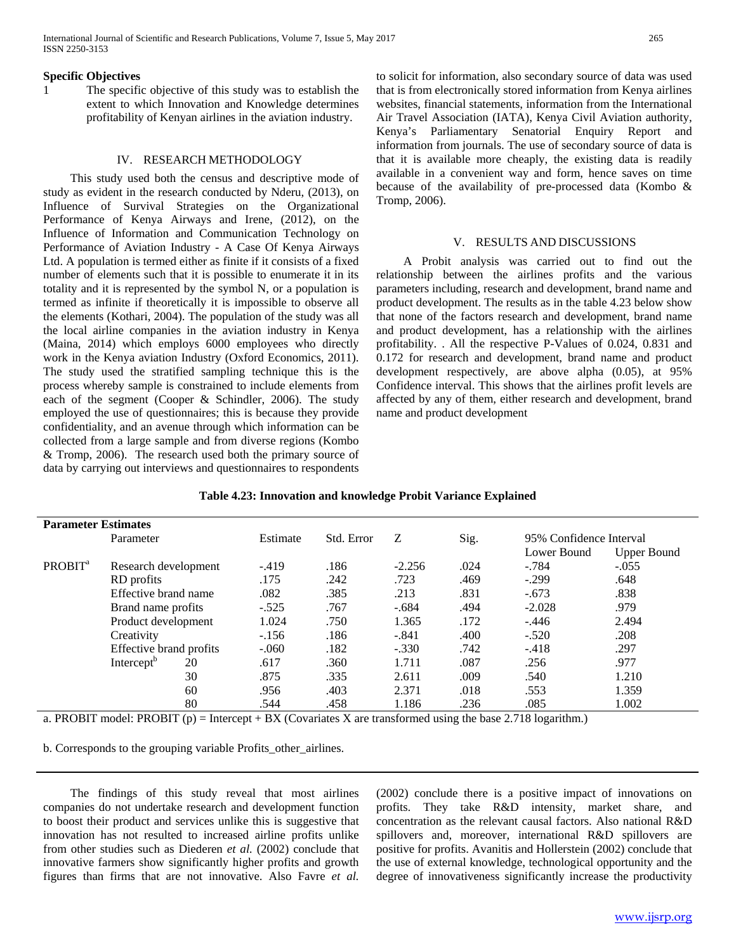#### **Specific Objectives**

1 The specific objective of this study was to establish the extent to which Innovation and Knowledge determines profitability of Kenyan airlines in the aviation industry.

### IV. RESEARCH METHODOLOGY

 This study used both the census and descriptive mode of study as evident in the research conducted by Nderu, (2013), on Influence of Survival Strategies on the Organizational Performance of Kenya Airways and Irene, (2012), on the Influence of Information and Communication Technology on Performance of Aviation Industry - A Case Of Kenya Airways Ltd. A population is termed either as finite if it consists of a fixed number of elements such that it is possible to enumerate it in its totality and it is represented by the symbol N, or a population is termed as infinite if theoretically it is impossible to observe all the elements (Kothari, 2004). The population of the study was all the local airline companies in the aviation industry in Kenya (Maina, 2014) which employs 6000 employees who directly work in the Kenya aviation Industry (Oxford Economics, 2011). The study used the stratified sampling technique this is the process whereby sample is constrained to include elements from each of the segment (Cooper & Schindler, 2006). The study employed the use of questionnaires; this is because they provide confidentiality, and an avenue through which information can be collected from a large sample and from diverse regions (Kombo & Tromp, 2006). The research used both the primary source of data by carrying out interviews and questionnaires to respondents to solicit for information, also secondary source of data was used that is from electronically stored information from Kenya airlines websites, financial statements, information from the International Air Travel Association (IATA), Kenya Civil Aviation authority, Kenya's Parliamentary Senatorial Enquiry Report and information from journals. The use of secondary source of data is that it is available more cheaply, the existing data is readily available in a convenient way and form, hence saves on time because of the availability of pre-processed data (Kombo & Tromp, 2006).

#### V. RESULTS AND DISCUSSIONS

 A Probit analysis was carried out to find out the relationship between the airlines profits and the various parameters including, research and development, brand name and product development. The results as in the table 4.23 below show that none of the factors research and development, brand name and product development, has a relationship with the airlines profitability. . All the respective P-Values of 0.024, 0.831 and 0.172 for research and development, brand name and product development respectively, are above alpha (0.05), at 95% Confidence interval. This shows that the airlines profit levels are affected by any of them, either research and development, brand name and product development

| Table 4.23: Innovation and knowledge Probit Variance Explained |  |  |  |  |
|----------------------------------------------------------------|--|--|--|--|
|----------------------------------------------------------------|--|--|--|--|

| <b>Parameter Estimates</b> |                         |    |          |            |          |      |                         |                    |
|----------------------------|-------------------------|----|----------|------------|----------|------|-------------------------|--------------------|
|                            | Parameter               |    | Estimate | Std. Error | Z        | Sig. | 95% Confidence Interval |                    |
|                            |                         |    |          |            |          |      | Lower Bound             | <b>Upper Bound</b> |
| PROBIT <sup>a</sup>        | Research development    |    | $-.419$  | .186       | $-2.256$ | .024 | $-.784$                 | $-.055$            |
|                            | RD profits              |    | .175     | .242       | .723     | .469 | $-.299$                 | .648               |
|                            | Effective brand name    |    | .082     | .385       | .213     | .831 | $-.673$                 | .838               |
|                            | Brand name profits      |    | $-.525$  | .767       | $-.684$  | .494 | $-2.028$                | .979               |
|                            | Product development     |    | 1.024    | .750       | 1.365    | .172 | $-.446$                 | 2.494              |
|                            | Creativity              |    | $-.156$  | .186       | $-.841$  | .400 | $-.520$                 | .208               |
|                            | Effective brand profits |    | $-.060$  | .182       | $-.330$  | .742 | $-.418$                 | .297               |
|                            | Intercept <sup>b</sup>  | 20 | .617     | .360       | 1.711    | .087 | .256                    | .977               |
|                            |                         | 30 | .875     | .335       | 2.611    | .009 | .540                    | 1.210              |
|                            |                         | 60 | .956     | .403       | 2.371    | .018 | .553                    | 1.359              |
|                            |                         | 80 | .544     | .458       | 1.186    | .236 | .085                    | 1.002              |

a. PROBIT model: PROBIT (p) = Intercept + BX (Covariates X are transformed using the base 2.718 logarithm.)

b. Corresponds to the grouping variable Profits\_other\_airlines.

 The findings of this study reveal that most airlines companies do not undertake research and development function to boost their product and services unlike this is suggestive that innovation has not resulted to increased airline profits unlike from other studies such as Diederen *et al.* (2002) conclude that innovative farmers show significantly higher profits and growth figures than firms that are not innovative. Also Favre *et al.* 

(2002) conclude there is a positive impact of innovations on profits. They take R&D intensity, market share, and concentration as the relevant causal factors. Also national R&D spillovers and, moreover, international R&D spillovers are positive for profits. Avanitis and Hollerstein (2002) conclude that the use of external knowledge, technological opportunity and the degree of innovativeness significantly increase the productivity